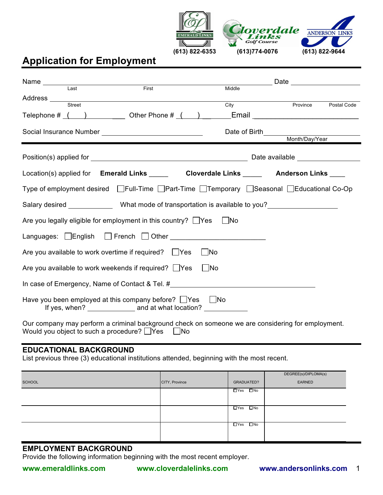

## **Application for Employment**

|                                                                                  | Last | First |  | Middle    |  |                                                                                                                               |             |
|----------------------------------------------------------------------------------|------|-------|--|-----------|--|-------------------------------------------------------------------------------------------------------------------------------|-------------|
| Address Street                                                                   |      |       |  | City      |  | Province                                                                                                                      | Postal Code |
|                                                                                  |      |       |  |           |  | Telephone $\#\begin{pmatrix} 1 & 1 \\ 1 & 1 \end{pmatrix}$ Other Phone $\#\begin{pmatrix} 1 & 1 \\ 1 & 1 \end{pmatrix}$ Email |             |
|                                                                                  |      |       |  |           |  |                                                                                                                               |             |
|                                                                                  |      |       |  |           |  | Date of Birth <u>___________________</u>                                                                                      |             |
|                                                                                  |      |       |  |           |  | Month/Day/Year                                                                                                                |             |
|                                                                                  |      |       |  |           |  | Date available ____________________                                                                                           |             |
|                                                                                  |      |       |  |           |  | Location(s) applied for Emerald Links ______ Cloverdale Links _____ Anderson Links ____                                       |             |
|                                                                                  |      |       |  |           |  | Type of employment desired □Full-Time □Part-Time □Temporary □Seasonal □Educational Co-Op                                      |             |
|                                                                                  |      |       |  |           |  | Salary desired <b>Salary desired</b> What mode of transportation is available to you?                                         |             |
| Are you legally eligible for employment in this country? $\Box$ Yes              |      |       |  | No        |  |                                                                                                                               |             |
| Languages: English French Other                                                  |      |       |  |           |  |                                                                                                                               |             |
| Are you available to work overtime if required? $\Box$ Yes                       |      |       |  | No        |  |                                                                                                                               |             |
| Are you available to work weekends if required? $\Box$ Yes                       |      |       |  | $\Box$ No |  |                                                                                                                               |             |
| In case of Emergency, Name of Contact & Tel. #__________________________________ |      |       |  |           |  |                                                                                                                               |             |
| Have you been employed at this company before? $\Box$ Yes $\Box$ No              |      |       |  |           |  |                                                                                                                               |             |
| Would you object to such a procedure? $\Box$ Yes $\Box$ No                       |      |       |  |           |  | Our company may perform a criminal background check on someone we are considering for employment.                             |             |

## **EDUCATIONAL BACKGROUND**

List previous three (3) educational institutions attended, beginning with the most recent.

|               |                |                      | DEGREE(s)/DIPLOMA(s) |
|---------------|----------------|----------------------|----------------------|
| <b>SCHOOL</b> | CITY, Province | GRADUATED?           | EARNED               |
|               |                | $\Box$ Yes $\Box$ No |                      |
|               |                | $\Box$ Yes $\Box$ No |                      |
|               |                | $\Box$ Yes $\Box$ No |                      |

## **EMPLOYMENT BACKGROUND**

Provide the following information beginning with the most recent employer.